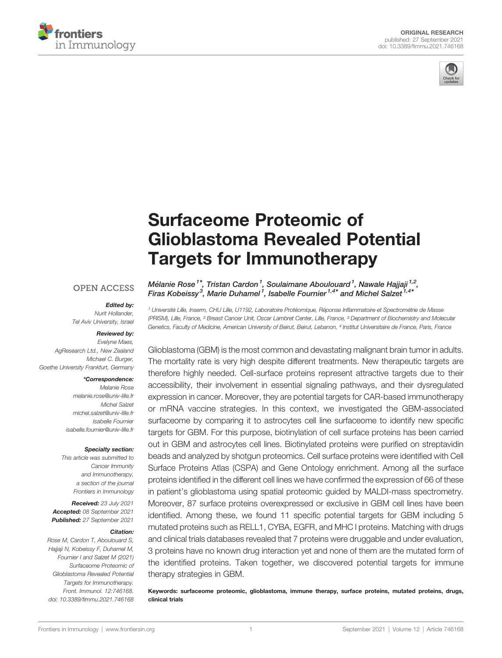



# [Surfaceome Proteomic of](https://www.frontiersin.org/articles/10.3389/fimmu.2021.746168/full) [Glioblastoma Revealed Potential](https://www.frontiersin.org/articles/10.3389/fimmu.2021.746168/full) [Targets for Immunotherapy](https://www.frontiersin.org/articles/10.3389/fimmu.2021.746168/full)

#### **OPEN ACCESS**

#### Edited by:

*Nurit Hollander, Tel Aviv University, Israel*

#### Reviewed by:

*Evelyne Maes, AgResearch Ltd., New Zealand Michael C. Burger, Goethe University Frankfurt, Germany*

#### \*Correspondence:

*Melanie Rose [melanie.rose@univ-lille.fr](mailto:melanie.rose@univ-lille.fr) Michel Salzet [michel.salzet@univ-lille.fr](mailto:michel.salzet@univ-lille.fr) Isabelle Fournier [isabelle.fournier@univ-lille.fr](mailto:isabelle.fournier@univ-lille.fr)*

#### Specialty section:

*This article was submitted to Cancer Immunity and Immunotherapy, a section of the journal Frontiers in Immunology*

Received: *23 July 2021* Accepted: *08 September 2021* Published: *27 September 2021*

#### Citation:

*Rose M, Cardon T, Aboulouard S, Hajjaji N, Kobeissy F, Duhamel M, Fournier I and Salzet M (2021) Surfaceome Proteomic of Glioblastoma Revealed Potential Targets for Immunotherapy. Front. Immunol. 12:746168. [doi: 10.3389/fimmu.2021.746168](https://doi.org/10.3389/fimmu.2021.746168)*

Mélanie Rose<sup>1\*</sup>, Tristan Cardon<sup>1</sup>, Soulaimane Aboulouard<sup>1</sup>, Nawale Hajjaji<sup>1,2</sup>, Firas Kobeissy $^3$ , Marie Duhamel  $^1$ , Isabelle Fournier  $^{1,4\ast}$  and Michel Salzet  $^{1,4\ast}$ 

*<sup>1</sup> Universite*´ *Lille, Inserm, CHU Lille, U1192, Laboratoire Prote*´ *omique, Re*´ *ponse In*fl*ammatoire et Spectrome*´*trie de Masse (PRISM), Lille, France, <sup>2</sup> Breast Cancer Unit, Oscar Lambret Center, Lille, France, <sup>3</sup> Department of Biochemistry and Molecular Genetics, Faculty of Medicine, American University of Beirut, Beirut, Lebanon, <sup>4</sup> Institut Universitaire de France, Paris, France*

Glioblastoma (GBM) is the most common and devastating malignant brain tumor in adults. The mortality rate is very high despite different treatments. New therapeutic targets are therefore highly needed. Cell-surface proteins represent attractive targets due to their accessibility, their involvement in essential signaling pathways, and their dysregulated expression in cancer. Moreover, they are potential targets for CAR-based immunotherapy or mRNA vaccine strategies. In this context, we investigated the GBM-associated surfaceome by comparing it to astrocytes cell line surfaceome to identify new specific targets for GBM. For this purpose, biotinylation of cell surface proteins has been carried out in GBM and astrocytes cell lines. Biotinylated proteins were purified on streptavidin beads and analyzed by shotgun proteomics. Cell surface proteins were identified with Cell Surface Proteins Atlas (CSPA) and Gene Ontology enrichment. Among all the surface proteins identified in the different cell lines we have confirmed the expression of 66 of these in patient's glioblastoma using spatial proteomic guided by MALDI-mass spectrometry. Moreover, 87 surface proteins overexpressed or exclusive in GBM cell lines have been identified. Among these, we found 11 specific potential targets for GBM including 5 mutated proteins such as RELL1, CYBA, EGFR, and MHC I proteins. Matching with drugs and clinical trials databases revealed that 7 proteins were druggable and under evaluation, 3 proteins have no known drug interaction yet and none of them are the mutated form of the identified proteins. Taken together, we discovered potential targets for immune therapy strategies in GBM.

Keywords: surfaceome proteomic, glioblastoma, immune therapy, surface proteins, mutated proteins, drugs, clinical trials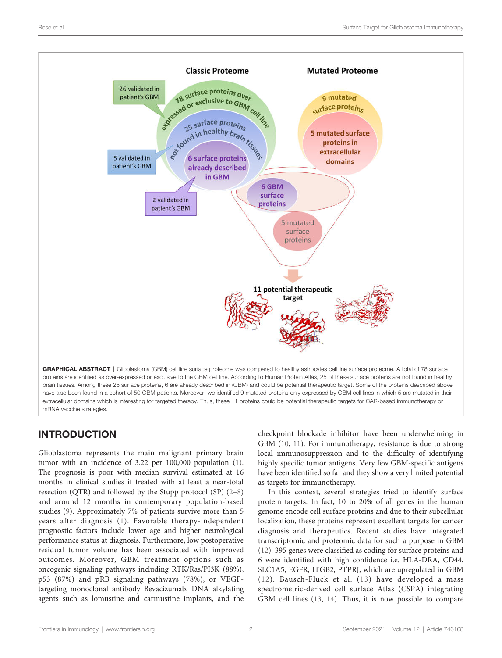

# INTRODUCTION

Glioblastoma represents the main malignant primary brain tumor with an incidence of 3.22 per 100,000 population [\(1\)](#page-9-0). The prognosis is poor with median survival estimated at 16 months in clinical studies if treated with at least a near-total resection (QTR) and followed by the Stupp protocol (SP) ([2](#page-9-0)–[8\)](#page-9-0) and around 12 months in contemporary population-based studies [\(9\)](#page-9-0). Approximately 7% of patients survive more than 5 years after diagnosis [\(1](#page-9-0)). Favorable therapy-independent prognostic factors include lower age and higher neurological performance status at diagnosis. Furthermore, low postoperative residual tumor volume has been associated with improved outcomes. Moreover, GBM treatment options such as oncogenic signaling pathways including RTK/Ras/PI3K (88%), p53 (87%) and pRB signaling pathways (78%), or VEGFtargeting monoclonal antibody Bevacizumab, DNA alkylating agents such as lomustine and carmustine implants, and the

checkpoint blockade inhibitor have been underwhelming in GBM [\(10](#page-9-0), [11\)](#page-9-0). For immunotherapy, resistance is due to strong local immunosuppression and to the difficulty of identifying highly specific tumor antigens. Very few GBM-specific antigens have been identified so far and they show a very limited potential as targets for immunotherapy.

In this context, several strategies tried to identify surface protein targets. In fact, 10 to 20% of all genes in the human genome encode cell surface proteins and due to their subcellular localization, these proteins represent excellent targets for cancer diagnosis and therapeutics. Recent studies have integrated transcriptomic and proteomic data for such a purpose in GBM [\(12\)](#page-9-0). 395 genes were classified as coding for surface proteins and 6 were identified with high confidence i.e. HLA-DRA, CD44, SLC1A5, EGFR, ITGB2, PTPRJ, which are upregulated in GBM ([12](#page-9-0)). Bausch-Fluck et al. ([13](#page-9-0)) have developed a mass spectrometric-derived cell surface Atlas (CSPA) integrating GBM cell lines [\(13](#page-9-0), [14\)](#page-9-0). Thus, it is now possible to compare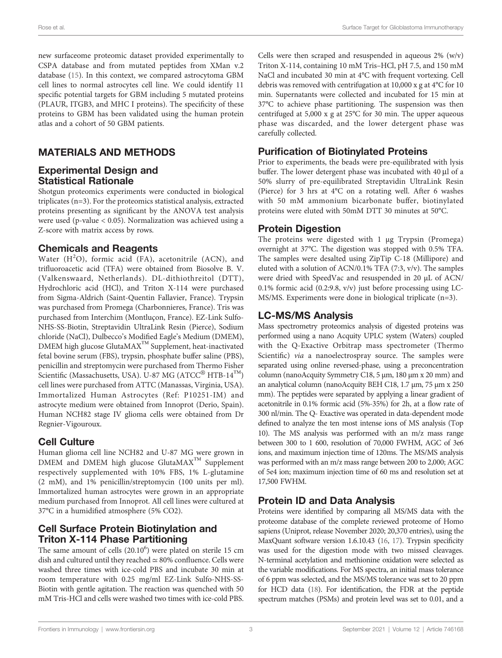Rose et al. Surface Target for Glioblastoma Immunotherapy

new surfaceome proteomic dataset provided experimentally to CSPA database and from mutated peptides from XMan v.2 database [\(15](#page-9-0)). In this context, we compared astrocytoma GBM cell lines to normal astrocytes cell line. We could identify 11 specific potential targets for GBM including 5 mutated proteins (PLAUR, ITGB3, and MHC I proteins). The specificity of these proteins to GBM has been validated using the human protein atlas and a cohort of 50 GBM patients.

# MATERIALS AND METHODS

#### Experimental Design and Statistical Rationale

Shotgun proteomics experiments were conducted in biological triplicates (n=3). For the proteomics statistical analysis, extracted proteins presenting as significant by the ANOVA test analysis were used (p-value < 0.05). Normalization was achieved using a Z-score with matrix access by rows.

#### Chemicals and Reagents

Water  $(H^2O)$ , formic acid (FA), acetonitrile (ACN), and trifluoroacetic acid (TFA) were obtained from Biosolve B. V. (Valkenswaard, Netherlands). DL-dithiothreitol (DTT), Hydrochloric acid (HCl), and Triton X-114 were purchased from Sigma-Aldrich (Saint-Quentin Fallavier, France). Trypsin was purchased from Promega (Charbonnieres, France). Tris was purchased from Interchim (Montluçon, France). EZ-Link Sulfo-NHS-SS-Biotin, Streptavidin UltraLink Resin (Pierce), Sodium chloride (NaCl), Dulbecco's Modified Eagle's Medium (DMEM), DMEM high glucose GlutaMAX™ Supplement, heat-inactivated fetal bovine serum (FBS), trypsin, phosphate buffer saline (PBS), penicillin and streptomycin were purchased from Thermo Fisher Scientific (Massachusetts, USA). U-87 MG (ATCC<sup>®</sup> HTB-14<sup>™</sup>) cell lines were purchased from ATTC (Manassas, Virginia, USA). Immortalized Human Astrocytes (Ref: P10251-IM) and astrocyte medium were obtained from Innoprot (Derio, Spain). Human NCH82 stage IV glioma cells were obtained from Dr Regnier-Vigouroux.

# Cell Culture

Human glioma cell line NCH82 and U-87 MG were grown in DMEM and DMEM high glucose GlutaMAX<sup>™</sup> Supplement respectively supplemented with 10% FBS, 1% L-glutamine (2 mM), and 1% penicillin/streptomycin (100 units per ml). Immortalized human astrocytes were grown in an appropriate medium purchased from Innoprot. All cell lines were cultured at 37°C in a humidified atmosphere (5% CO2).

### Cell Surface Protein Biotinylation and Triton X-114 Phase Partitioning

The same amount of cells  $(20.10^6)$  were plated on sterile 15 cm dish and cultured until they reached ≃ 80% confluence. Cells were washed three times with ice-cold PBS and incubate 30 min at room temperature with 0.25 mg/ml EZ-Link Sulfo-NHS-SS-Biotin with gentle agitation. The reaction was quenched with 50 mM Tris-HCl and cells were washed two times with ice-cold PBS.

Cells were then scraped and resuspended in aqueous 2% (w/v) Triton X-114, containing 10 mM Tris–HCl, pH 7.5, and 150 mM NaCl and incubated 30 min at 4°C with frequent vortexing. Cell debris was removed with centrifugation at 10,000 x g at 4°C for 10 min. Supernatants were collected and incubated for 15 min at 37°C to achieve phase partitioning. The suspension was then centrifuged at 5,000 x g at 25°C for 30 min. The upper aqueous phase was discarded, and the lower detergent phase was carefully collected.

# Purification of Biotinylated Proteins

Prior to experiments, the beads were pre-equilibrated with lysis buffer. The lower detergent phase was incubated with 40 µl of a 50% slurry of pre-equilibrated Streptavidin UltraLink Resin (Pierce) for 3 hrs at 4°C on a rotating well. After 6 washes with 50 mM ammonium bicarbonate buffer, biotinylated proteins were eluted with 50mM DTT 30 minutes at 50°C.

### Protein Digestion

The proteins were digested with 1 µg Trypsin (Promega) overnight at 37°C. The digestion was stopped with 0.5% TFA. The samples were desalted using ZipTip C-18 (Millipore) and eluted with a solution of ACN/0.1% TFA (7:3, v/v). The samples were dried with SpeedVac and resuspended in 20 µL of ACN/ 0.1% formic acid (0.2:9.8, v/v) just before processing using LC-MS/MS. Experiments were done in biological triplicate (n=3).

# LC-MS/MS Analysis

Mass spectrometry proteomics analysis of digested proteins was performed using a nano Acquity UPLC system (Waters) coupled with the Q-Exactive Orbitrap mass spectrometer (Thermo Scientific) via a nanoelectrospray source. The samples were separated using online reversed-phase, using a preconcentration column (nanoAcquity Symmetry C18, 5 µm, 180 µm x 20 mm) and an analytical column (nanoAcquity BEH C18, 1.7 µm, 75 µm x 250 mm). The peptides were separated by applying a linear gradient of acetonitrile in 0.1% formic acid (5%-35%) for 2h, at a flow rate of 300 nl/min. The Q- Exactive was operated in data-dependent mode defined to analyze the ten most intense ions of MS analysis (Top 10). The MS analysis was performed with an m/z mass range between 300 to 1 600, resolution of 70,000 FWHM, AGC of 3e6 ions, and maximum injection time of 120ms. The MS/MS analysis was performed with an m/z mass range between 200 to 2,000; AGC of 5e4 ion; maximum injection time of 60 ms and resolution set at 17,500 FWHM.

# Protein ID and Data Analysis

Proteins were identified by comparing all MS/MS data with the proteome database of the complete reviewed proteome of Homo sapiens (Uniprot, release November 2020; 20,370 entries), using the MaxQuant software version 1.6.10.43 [\(16,](#page-9-0) [17\)](#page-9-0). Trypsin specificity was used for the digestion mode with two missed cleavages. N-terminal acetylation and methionine oxidation were selected as the variable modifications. For MS spectra, an initial mass tolerance of 6 ppm was selected, and the MS/MS tolerance was set to 20 ppm for HCD data ([18](#page-9-0)). For identification, the FDR at the peptide spectrum matches (PSMs) and protein level was set to 0.01, and a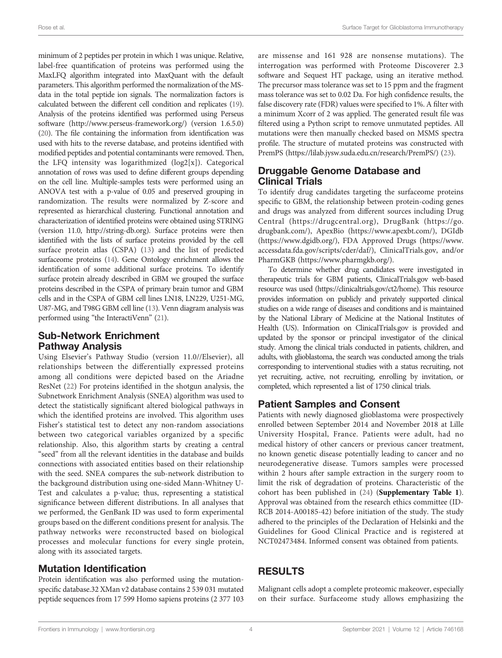minimum of 2 peptides per protein in which 1 was unique. Relative, label-free quantification of proteins was performed using the MaxLFQ algorithm integrated into MaxQuant with the default parameters. This algorithm performed the normalization of the MSdata in the total peptide ion signals. The normalization factors is calculated between the different cell condition and replicates [\(19\)](#page-9-0). Analysis of the proteins identified was performed using Perseus software ([http://www.perseus-framework.org/\)](http://www.perseus-framework.org/) (version 1.6.5.0) [\(20](#page-9-0)). The file containing the information from identification was used with hits to the reverse database, and proteins identified with modified peptides and potential contaminants were removed. Then, the LFQ intensity was logarithmized (log2[x]). Categorical annotation of rows was used to define different groups depending on the cell line. Multiple-samples tests were performed using an ANOVA test with a p-value of 0.05 and preserved grouping in randomization. The results were normalized by Z-score and represented as hierarchical clustering. Functional annotation and characterization of identified proteins were obtained using STRING (version 11.0,<http://string-db.org>). Surface proteins were then identified with the lists of surface proteins provided by the cell surface protein atlas (CSPA) [\(13](#page-9-0)) and the list of predicted surfaceome proteins [\(14\)](#page-9-0). Gene Ontology enrichment allows the identification of some additional surface proteins. To identify surface protein already described in GBM we grouped the surface proteins described in the CSPA of primary brain tumor and GBM cells and in the CSPA of GBM cell lines LN18, LN229, U251-MG, U87-MG, and T98G GBM cell line ([13](#page-9-0)). Venn diagram analysis was performed using "the InteractiVenn" [\(21\)](#page-9-0).

### Sub-Network Enrichment Pathway Analysis

Using Elsevier's Pathway Studio (version 11.0//Elsevier), all relationships between the differentially expressed proteins among all conditions were depicted based on the Ariadne ResNet ([22\)](#page-9-0) For proteins identified in the shotgun analysis, the Subnetwork Enrichment Analysis (SNEA) algorithm was used to detect the statistically significant altered biological pathways in which the identified proteins are involved. This algorithm uses Fisher's statistical test to detect any non-random associations between two categorical variables organized by a specific relationship. Also, this algorithm starts by creating a central "seed" from all the relevant identities in the database and builds connections with associated entities based on their relationship with the seed. SNEA compares the sub-network distribution to the background distribution using one-sided Mann-Whitney U-Test and calculates a p-value; thus, representing a statistical significance between different distributions. In all analyses that we performed, the GenBank ID was used to form experimental groups based on the different conditions present for analysis. The pathway networks were reconstructed based on biological processes and molecular functions for every single protein, along with its associated targets.

### Mutation Identification

Protein identification was also performed using the mutationspecific database.32 XMan v2 database contains 2 539 031 mutated peptide sequences from 17 599 Homo sapiens proteins (2 377 103 are missense and 161 928 are nonsense mutations). The interrogation was performed with Proteome Discoverer 2.3 software and Sequest HT package, using an iterative method. The precursor mass tolerance was set to 15 ppm and the fragment mass tolerance was set to 0.02 Da. For high confidence results, the false discovery rate (FDR) values were specified to 1%. A filter with a minimum Xcorr of 2 was applied. The generated result file was filtered using a Python script to remove unmutated peptides. All mutations were then manually checked based on MSMS spectra profile. The structure of mutated proteins was constructed with PremPS (<https://lilab.jysw.suda.edu.cn/research/PremPS/>) [\(23](#page-10-0)).

#### Druggable Genome Database and Clinical Trials

To identify drug candidates targeting the surfaceome proteins specific to GBM, the relationship between protein-coding genes and drugs was analyzed from different sources including Drug Central (<https://drugcentral.org>), DrugBank ([https://go.](https://go.drugbank.com/) [drugbank.com/\)](https://go.drugbank.com/), ApexBio [\(https://www.apexbt.com/\)](https://www.apexbt.com/), DGIdb [\(https://www.dgidb.org/](https://www.dgidb.org/)), FDA Approved Drugs [\(https://www.](https://www.accessdata.fda.gov/scripts/cder/daf/) [accessdata.fda.gov/scripts/cder/daf/](https://www.accessdata.fda.gov/scripts/cder/daf/)), ClinicalTrials.gov, and/or PharmGKB (<https://www.pharmgkb.org/>).

To determine whether drug candidates were investigated in therapeutic trials for GBM patients, ClinicalTrials.gov web-based resource was used ([https://clinicaltrials.gov/ct2/home\)](https://clinicaltrials.gov/ct2/home). This resource provides information on publicly and privately supported clinical studies on a wide range of diseases and conditions and is maintained by the National Library of Medicine at the National Institutes of Health (US). Information on ClinicalTrials.gov is provided and updated by the sponsor or principal investigator of the clinical study. Among the clinical trials conducted in patients, children, and adults, with glioblastoma, the search was conducted among the trials corresponding to interventional studies with a status recruiting, not yet recruiting, active, not recruiting, enrolling by invitation, or completed, which represented a list of 1750 clinical trials.

# Patient Samples and Consent

Patients with newly diagnosed glioblastoma were prospectively enrolled between September 2014 and November 2018 at Lille University Hospital, France. Patients were adult, had no medical history of other cancers or previous cancer treatment, no known genetic disease potentially leading to cancer and no neurodegenerative disease. Tumors samples were processed within 2 hours after sample extraction in the surgery room to limit the risk of degradation of proteins. Characteristic of the cohort has been published in ([24\)](#page-10-0) ([Supplementary Table 1](#page-9-0)). Approval was obtained from the research ethics committee (ID-RCB 2014-A00185-42) before initiation of the study. The study adhered to the principles of the Declaration of Helsinki and the Guidelines for Good Clinical Practice and is registered at NCT02473484. Informed consent was obtained from patients.

# RESULTS

Malignant cells adopt a complete proteomic makeover, especially on their surface. Surfaceome study allows emphasizing the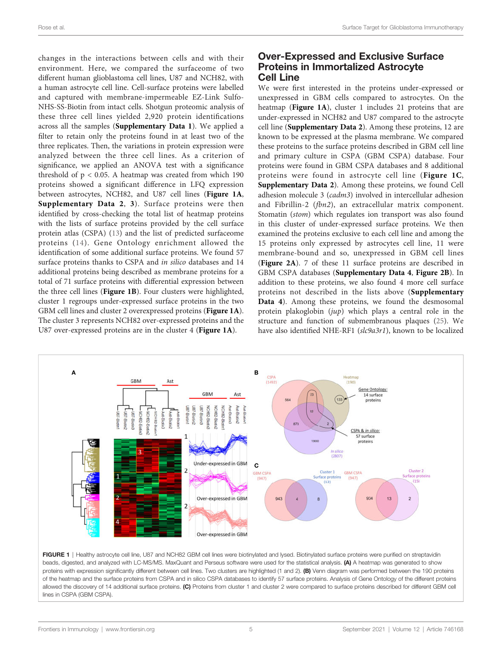<span id="page-4-0"></span>changes in the interactions between cells and with their environment. Here, we compared the surfaceome of two different human glioblastoma cell lines, U87 and NCH82, with a human astrocyte cell line. Cell-surface proteins were labelled and captured with membrane-impermeable EZ-Link Sulfo-NHS-SS-Biotin from intact cells. Shotgun proteomic analysis of these three cell lines yielded 2,920 protein identifications across all the samples ([Supplementary Data 1](#page-9-0)). We applied a filter to retain only the proteins found in at least two of the three replicates. Then, the variations in protein expression were analyzed between the three cell lines. As a criterion of significance, we applied an ANOVA test with a significance threshold of  $p < 0.05$ . A heatmap was created from which 190 proteins showed a significant difference in LFQ expression between astrocytes, NCH82, and U87 cell lines (Figure 1A, [Supplementary Data 2](#page-9-0), [3](#page-9-0)). Surface proteins were then identified by cross-checking the total list of heatmap proteins with the lists of surface proteins provided by the cell surface protein atlas (CSPA) ([13\)](#page-9-0) and the list of predicted surfaceome proteins ([14\)](#page-9-0). Gene Ontology enrichment allowed the identification of some additional surface proteins. We found 57 surface proteins thanks to CSPA and in silico databases and 14 additional proteins being described as membrane proteins for a total of 71 surface proteins with differential expression between the three cell lines (Figure 1B). Four clusters were highlighted, cluster 1 regroups under-expressed surface proteins in the two GBM cell lines and cluster 2 overexpressed proteins (Figure 1A). The cluster 3 represents NCH82 over-expressed proteins and the U87 over-expressed proteins are in the cluster 4 (Figure 1A).

#### Over-Expressed and Exclusive Surface Proteins in Immortalized Astrocyte Cell Line

We were first interested in the proteins under-expressed or unexpressed in GBM cells compared to astrocytes. On the heatmap (Figure 1A), cluster 1 includes 21 proteins that are under-expressed in NCH82 and U87 compared to the astrocyte cell line ([Supplementary Data 2](#page-9-0)). Among these proteins, 12 are known to be expressed at the plasma membrane. We compared these proteins to the surface proteins described in GBM cell line and primary culture in CSPA (GBM CSPA) database. Four proteins were found in GBM CSPA databases and 8 additional proteins were found in astrocyte cell line (Figure 1C, [Supplementary Data 2](#page-9-0)). Among these proteins, we found Cell adhesion molecule 3 (cadm3) involved in intercellular adhesion and Fibrillin-2 (fbn2), an extracellular matrix component. Stomatin (stom) which regulates ion transport was also found in this cluster of under-expressed surface proteins. We then examined the proteins exclusive to each cell line and among the 15 proteins only expressed by astrocytes cell line, 11 were membrane-bound and so, unexpressed in GBM cell lines ([Figure 2A](#page-5-0)). 7 of these 11 surface proteins are described in GBM CSPA databases ([Supplementary Data 4](#page-9-0), [Figure 2B](#page-5-0)). In addition to these proteins, we also found 4 more cell surface proteins not described in the lists above ([Supplementary](#page-9-0) [Data 4](#page-9-0)). Among these proteins, we found the desmosomal protein plakoglobin  $(iup)$  which plays a central role in the structure and function of submembranous plaques ([25\)](#page-10-0). We have also identified NHE-RF1 (slc9a3r1), known to be localized



FIGURE 1 | Healthy astrocyte cell line, U87 and NCH82 GBM cell lines were biotinylated and lysed. Biotinylated surface proteins were purified on streptavidin beads, digested, and analyzed with LC-MS/MS. MaxQuant and Perseus software were used for the statistical analysis. (A) A heatmap was generated to show proteins with expression significantly different between cell lines. Two clusters are highlighted (1 and 2). (B) Venn diagram was performed between the 190 proteins of the heatmap and the surface proteins from CSPA and in silico CSPA databases to identify 57 surface proteins. Analysis of Gene Ontology of the different proteins allowed the discovery of 14 additional surface proteins. (C) Proteins from cluster 1 and cluster 2 were compared to surface proteins described for different GBM cell lines in CSPA (GBM CSPA).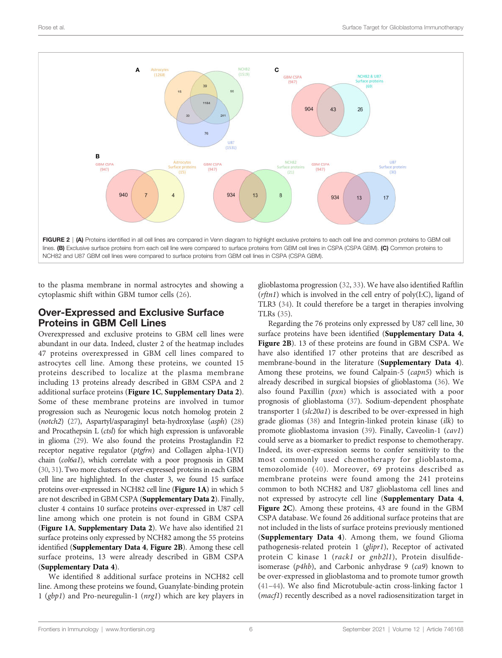<span id="page-5-0"></span>

to the plasma membrane in normal astrocytes and showing a cytoplasmic shift within GBM tumor cells [\(26](#page-10-0)).

#### Over-Expressed and Exclusive Surface Proteins in GBM Cell Lines

Overexpressed and exclusive proteins to GBM cell lines were abundant in our data. Indeed, cluster 2 of the heatmap includes 47 proteins overexpressed in GBM cell lines compared to astrocytes cell line. Among these proteins, we counted 15 proteins described to localize at the plasma membrane including 13 proteins already described in GBM CSPA and 2 additional surface proteins ([Figure 1C](#page-4-0), [Supplementary Data 2](#page-9-0)). Some of these membrane proteins are involved in tumor progression such as Neurogenic locus notch homolog protein 2 (notch2) [\(27](#page-10-0)), Aspartyl/asparaginyl beta-hydroxylase (asph) [\(28\)](#page-10-0) and Procathepsin L (ctsl) for which high expression is unfavorable in glioma ([29](#page-10-0)). We also found the proteins Prostaglandin F2 receptor negative regulator ( $ptgfrn$ ) and Collagen alpha-1(VI) chain (col6a1), which correlate with a poor prognosis in GBM [\(30](#page-10-0), [31\)](#page-10-0). Two more clusters of over-expressed proteins in each GBM cell line are highlighted. In the cluster 3, we found 15 surface proteins over-expressed in NCH82 cell line ([Figure 1A](#page-4-0)) in which 5 are not described in GBM CSPA ([Supplementary Data 2](#page-9-0)). Finally, cluster 4 contains 10 surface proteins over-expressed in U87 cell line among which one protein is not found in GBM CSPA ([Figure 1A](#page-4-0), [Supplementary Data 2](#page-9-0)). We have also identified 21 surface proteins only expressed by NCH82 among the 55 proteins identified ([Supplementary Data 4](#page-9-0), Figure 2B). Among these cell surface proteins, 13 were already described in GBM CSPA ([Supplementary Data 4](#page-9-0)).

We identified 8 additional surface proteins in NCH82 cell line. Among these proteins we found, Guanylate-binding protein 1 (gbp1) and Pro-neuregulin-1 (nrg1) which are key players in glioblastoma progression ([32,](#page-10-0) [33\)](#page-10-0). We have also identified Raftlin  $(rftn1)$  which is involved in the cell entry of poly $(I:C)$ , ligand of TLR3 ([34\)](#page-10-0). It could therefore be a target in therapies involving TLRs [\(35\)](#page-10-0).

Regarding the 76 proteins only expressed by U87 cell line, 30 surface proteins have been identified ([Supplementary Data 4](#page-9-0), Figure 2B). 13 of these proteins are found in GBM CSPA. We have also identified 17 other proteins that are described as membrane-bound in the literature ([Supplementary Data 4](#page-9-0)). Among these proteins, we found Calpain-5 (capn5) which is already described in surgical biopsies of glioblastoma ([36](#page-10-0)). We also found Paxillin  $(pxn)$  which is associated with a poor prognosis of glioblastoma [\(37](#page-10-0)). Sodium-dependent phosphate transporter 1 (slc20a1) is described to be over-expressed in high grade gliomas [\(38](#page-10-0)) and Integrin-linked protein kinase (ilk) to promote glioblastoma invasion [\(39\)](#page-10-0). Finally, Caveolin-1 (cav1) could serve as a biomarker to predict response to chemotherapy. Indeed, its over-expression seems to confer sensitivity to the most commonly used chemotherapy for glioblastoma, temozolomide ([40\)](#page-10-0). Moreover, 69 proteins described as membrane proteins were found among the 241 proteins common to both NCH82 and U87 glioblastoma cell lines and not expressed by astrocyte cell line ([Supplementary Data 4](#page-9-0), Figure 2C). Among these proteins, 43 are found in the GBM CSPA database. We found 26 additional surface proteins that are not included in the lists of surface proteins previously mentioned ([Supplementary Data 4](#page-9-0)). Among them, we found Glioma pathogenesis-related protein 1 (glipr1), Receptor of activated protein C kinase 1 (rack1 or gnb2l1), Protein disulfideisomerase  $(p4hb)$ , and Carbonic anhydrase 9 (ca9) known to be over-expressed in glioblastoma and to promote tumor growth [\(41](#page-10-0)–[44](#page-10-0)). We also find Microtubule-actin cross-linking factor 1 (macf1) recently described as a novel radiosensitization target in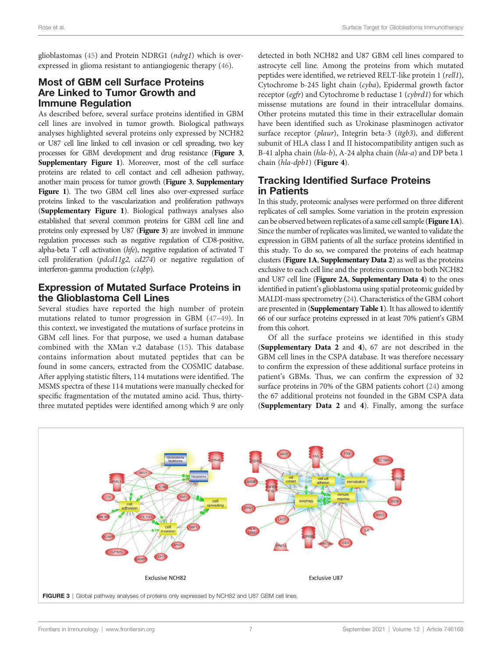glioblastomas ([45\)](#page-10-0) and Protein NDRG1 (ndrg1) which is overexpressed in glioma resistant to antiangiogenic therapy [\(46](#page-10-0)).

#### Most of GBM cell Surface Proteins Are Linked to Tumor Growth and Immune Regulation

As described before, several surface proteins identified in GBM cell lines are involved in tumor growth. Biological pathways analyses highlighted several proteins only expressed by NCH82 or U87 cell line linked to cell invasion or cell spreading, two key processes for GBM development and drug resistance (Figure 3, [Supplementary Figure 1](#page-9-0)). Moreover, most of the cell surface proteins are related to cell contact and cell adhesion pathway, another main process for tumor growth (Figure 3, [Supplementary](#page-9-0) [Figure 1](#page-9-0)). The two GBM cell lines also over-expressed surface proteins linked to the vascularization and proliferation pathways ([Supplementary Figure 1](#page-9-0)). Biological pathways analyses also established that several common proteins for GBM cell line and proteins only expressed by U87 (Figure 3) are involved in immune regulation processes such as negative regulation of CD8-positive, alpha-beta T cell activation (hfe), negative regulation of activated T cell proliferation (pdcd11g2, cd274) or negative regulation of interferon-gamma production (c1qbp).

#### Expression of Mutated Surface Proteins in the Glioblastoma Cell Lines

Several studies have reported the high number of protein mutations related to tumor progression in GBM ([47](#page-10-0)–[49\)](#page-10-0). In this context, we investigated the mutations of surface proteins in GBM cell lines. For that purpose, we used a human database combined with the XMan v.2 database [\(15\)](#page-9-0). This database contains information about mutated peptides that can be found in some cancers, extracted from the COSMIC database. After applying statistic filters, 114 mutations were identified. The MSMS spectra of these 114 mutations were manually checked for specific fragmentation of the mutated amino acid. Thus, thirtythree mutated peptides were identified among which 9 are only detected in both NCH82 and U87 GBM cell lines compared to astrocyte cell line. Among the proteins from which mutated peptides were identified, we retrieved RELT-like protein 1 (rell1), Cytochrome b-245 light chain (cyba), Epidermal growth factor receptor (egfr) and Cytochrome b reductase 1 (cybrd1) for which missense mutations are found in their intracellular domains. Other proteins mutated this time in their extracellular domain have been identified such as Urokinase plasminogen activator surface receptor (plaur), Integrin beta-3 (itgb3), and different subunit of HLA class I and II histocompatibility antigen such as B-41 alpha chain (hla-b), A-24 alpha chain (hla-a) and DP beta 1 chain (hla-dpb1) ([Figure 4](#page-7-0)).

# Tracking Identified Surface Proteins in Patients

In this study, proteomic analyses were performed on three different replicates of cell samples. Some variation in the protein expression can be observed between replicates of a same cell sample ([Figure 1A](#page-4-0)). Since the number of replicates was limited, we wanted to validate the expression in GBM patients of all the surface proteins identified in this study. To do so, we compared the proteins of each heatmap clusters ([Figure 1A](#page-4-0), [Supplementary Data 2](#page-9-0)) as well as the proteins exclusive to each cell line and the proteins common to both NCH82 and U87 cell line ([Figure 2A](#page-5-0), [Supplementary Data 4](#page-9-0)) to the ones identified in patient's glioblastoma using spatial proteomic guided by MALDI-mass spectrometry [\(24\)](#page-10-0). Characteristics of the GBM cohort are presented in ([Supplementary Table 1](#page-9-0)). It has allowed to identify 66 of our surface proteins expressed in at least 70% patient's GBM from this cohort.

Of all the surface proteins we identified in this study ([Supplementary Data 2](#page-9-0) and [4](#page-9-0)), 67 are not described in the GBM cell lines in the CSPA database. It was therefore necessary to confirm the expression of these additional surface proteins in patient's GBMs. Thus, we can confirm the expression of 32 surface proteins in 70% of the GBM patients cohort ([24\)](#page-10-0) among the 67 additional proteins not founded in the GBM CSPA data ([Supplementary Data 2](#page-9-0) and [4](#page-9-0)). Finally, among the surface

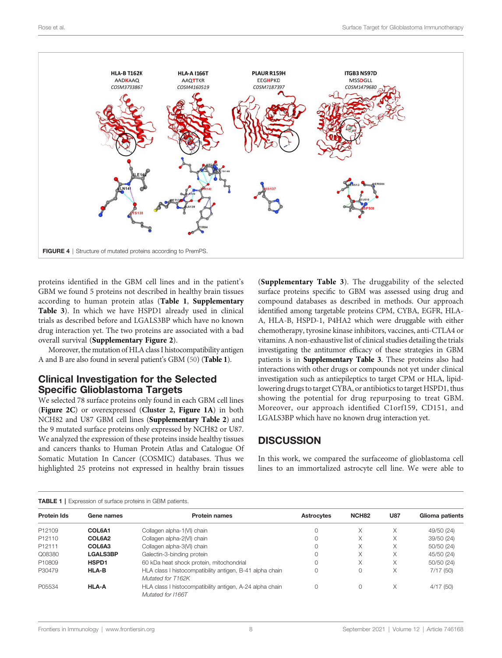<span id="page-7-0"></span>

proteins identified in the GBM cell lines and in the patient's GBM we found 5 proteins not described in healthy brain tissues according to human protein atlas (Table 1, [Supplementary](#page-9-0) [Table 3](#page-9-0)). In which we have HSPD1 already used in clinical trials as described before and LGALS3BP which have no known drug interaction yet. The two proteins are associated with a bad overall survival ([Supplementary Figure 2](#page-9-0)).

Moreover, the mutation of HLA class I histocompatibility antigen A and B are also found in several patient's GBM ([50\)](#page-10-0) (Table 1).

#### Clinical Investigation for the Selected Specific Glioblastoma Targets

We selected 78 surface proteins only found in each GBM cell lines ([Figure 2C](#page-5-0)) or overexpressed (Cluster 2, [Figure 1A](#page-4-0)) in both NCH82 and U87 GBM cell lines ([Supplementary Table 2](#page-9-0)) and the 9 mutated surface proteins only expressed by NCH82 or U87. We analyzed the expression of these proteins inside healthy tissues and cancers thanks to Human Protein Atlas and Catalogue Of Somatic Mutation In Cancer (COSMIC) databases. Thus we highlighted 25 proteins not expressed in healthy brain tissues

([Supplementary Table 3](#page-9-0)). The druggability of the selected surface proteins specific to GBM was assessed using drug and compound databases as described in methods. Our approach identified among targetable proteins CPM, CYBA, EGFR, HLA-A, HLA-B, HSPD-1, P4HA2 which were druggable with either chemotherapy, tyrosine kinase inhibitors, vaccines, anti-CTLA4 or vitamins. A non-exhaustive list of clinical studies detailing the trials investigating the antitumor efficacy of these strategies in GBM patients is in [Supplementary Table 3](#page-9-0). These proteins also had interactions with other drugs or compounds not yet under clinical investigation such as antiepileptics to target CPM or HLA, lipidlowering drugs to target CYBA, or antibiotics to target HSPD1, thus showing the potential for drug repurposing to treat GBM. Moreover, our approach identified C1orf159, CD151, and LGALS3BP which have no known drug interaction yet.

### **DISCUSSION**

In this work, we compared the surfaceome of glioblastoma cell lines to an immortalized astrocyte cell line. We were able to

#### TABLE 1 | Expression of surface proteins in GBM patients.

| Gene names      | <b>Protein names</b>                                                          | <b>Astrocytes</b> | NCH <sub>82</sub> | <b>U87</b> | Glioma patients |
|-----------------|-------------------------------------------------------------------------------|-------------------|-------------------|------------|-----------------|
| COL6A1          | Collagen alpha-1(VI) chain                                                    | Ω                 | X                 | X          | 49/50 (24)      |
| COL6A2          | Collagen alpha-2(VI) chain                                                    | Ω                 | X                 | X          | 39/50 (24)      |
| COL6A3          | Collagen alpha-3(VI) chain                                                    | Ω                 | X                 | X          | 50/50 (24)      |
| <b>LGALS3BP</b> | Galectin-3-binding protein                                                    | Ω                 | X                 |            | 45/50 (24)      |
| HSPD1           | 60 kDa heat shock protein, mitochondrial                                      | Ω                 | X                 | X          | 50/50 (24)      |
| <b>HLA-B</b>    | HLA class I histocompatibility antigen, B-41 alpha chain<br>Mutated for T162K | 0                 | $\Omega$          | X          | 7/17(50)        |
| <b>HLA-A</b>    | HLA class I histocompatibility antigen, A-24 alpha chain<br>Mutated for I166T | Ω                 | $\Omega$          | X          | 4/17(50)        |
|                 |                                                                               |                   |                   |            |                 |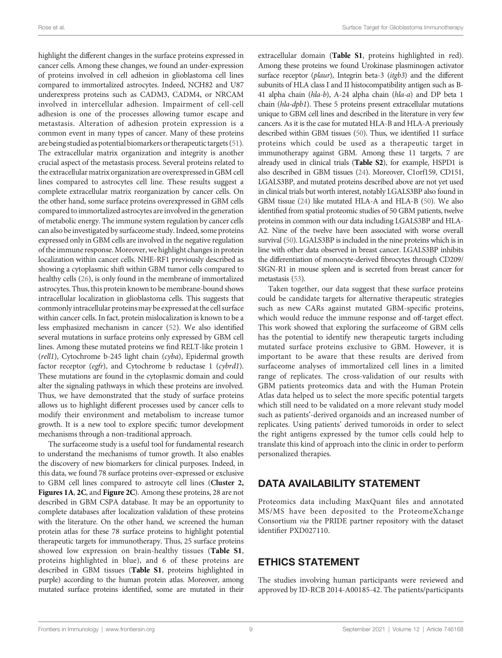highlight the different changes in the surface proteins expressed in cancer cells. Among these changes, we found an under-expression of proteins involved in cell adhesion in glioblastoma cell lines compared to immortalized astrocytes. Indeed, NCH82 and U87 underexpress proteins such as CADM3, CADM4, or NRCAM involved in intercellular adhesion. Impairment of cell-cell adhesion is one of the processes allowing tumor escape and metastasis. Alteration of adhesion protein expression is a common event in many types of cancer. Many of these proteins are being studied as potential biomarkers or therapeutic targets [\(51\)](#page-10-0). The extracellular matrix organization and integrity is another crucial aspect of the metastasis process. Several proteins related to the extracellular matrix organization are overexpressed in GBM cell lines compared to astrocytes cell line. These results suggest a complete extracellular matrix reorganization by cancer cells. On the other hand, some surface proteins overexpressed in GBM cells compared to immortalized astrocytes are involved in the generation of metabolic energy. The immune system regulation by cancer cells can also be investigated by surfaceome study. Indeed, some proteins expressed only in GBM cells are involved in the negative regulation of the immune response.Moreover, we highlight changes in protein localization within cancer cells. NHE-RF1 previously described as showing a cytoplasmic shift within GBM tumor cells compared to healthy cells [\(26\)](#page-10-0), is only found in the membrane of immortalized astrocytes. Thus, this protein known to be membrane-bound shows intracellular localization in glioblastoma cells. This suggests that commonly intracellular proteinsmay be expressed at the cell surface within cancer cells. In fact, protein mislocalization is known to be a less emphasized mechanism in cancer [\(52](#page-10-0)). We also identified several mutations in surface proteins only expressed by GBM cell lines. Among these mutated proteins we find RELT-like protein 1 (rell1), Cytochrome b-245 light chain (cyba), Epidermal growth factor receptor (egfr), and Cytochrome b reductase 1 (cybrd1). These mutations are found in the cytoplasmic domain and could alter the signaling pathways in which these proteins are involved. Thus, we have demonstrated that the study of surface proteins allows us to highlight different processes used by cancer cells to modify their environment and metabolism to increase tumor growth. It is a new tool to explore specific tumor development mechanisms through a non-traditional approach.

The surfaceome study is a useful tool for fundamental research to understand the mechanisms of tumor growth. It also enables the discovery of new biomarkers for clinical purposes. Indeed, in this data, we found 78 surface proteins over-expressed or exclusive to GBM cell lines compared to astrocyte cell lines (Cluster 2, [Figures 1A](#page-4-0), [2C](#page-5-0), and [Figure 2C](#page-5-0)). Among these proteins, 28 are not described in GBM CSPA database. It may be an opportunity to complete databases after localization validation of these proteins with the literature. On the other hand, we screened the human protein atlas for these 78 surface proteins to highlight potential therapeutic targets for immunotherapy. Thus, 25 surface proteins showed low expression on brain-healthy tissues ([Table S1](#page-9-0), proteins highlighted in blue), and 6 of these proteins are described in GBM tissues ([Table S1](#page-9-0), proteins highlighted in purple) according to the human protein atlas. Moreover, among mutated surface proteins identified, some are mutated in their

extracellular domain ([Table S1](#page-9-0), proteins highlighted in red). Among these proteins we found Urokinase plasminogen activator surface receptor (plaur), Integrin beta-3 (itgb3) and the different subunits of HLA class I and II histocompatibility antigen such as B-41 alpha chain (hla-b), A-24 alpha chain (hla-a) and DP beta 1 chain (hla-dpb1). These 5 proteins present extracellular mutations unique to GBM cell lines and described in the literature in very few cancers. As it is the case for mutated HLA-B and HLA-A previously described within GBM tissues [\(50\)](#page-10-0). Thus, we identified 11 surface proteins which could be used as a therapeutic target in immunotherapy against GBM. Among these 11 targets, 7 are already used in clinical trials ([Table S2](#page-9-0)), for example, HSPD1 is also described in GBM tissues [\(24\)](#page-10-0). Moreover, C1orf159, CD151, LGALS3BP, and mutated proteins described above are not yet used in clinical trials but worth interest, notably LGALS3BP also found in GBM tissue [\(24\)](#page-10-0) like mutated HLA-A and HLA-B [\(50](#page-10-0)). We also identified from spatial proteomic studies of 50 GBM patients, twelve proteins in common with our data including LGALS3BP and HLA-A2. Nine of the twelve have been associated with worse overall survival [\(50\)](#page-10-0). LGALS3BP is included in the nine proteins which is in line with other data observed in breast cancer. LGALS3BP inhibits the differentiation of monocyte-derived fibrocytes through CD209/ SIGN-R1 in mouse spleen and is secreted from breast cancer for metastasis ([53](#page-10-0)).

Taken together, our data suggest that these surface proteins could be candidate targets for alternative therapeutic strategies such as new CARs against mutated GBM-specific proteins, which would reduce the immune response and off-target effect. This work showed that exploring the surfaceome of GBM cells has the potential to identify new therapeutic targets including mutated surface proteins exclusive to GBM. However, it is important to be aware that these results are derived from surfaceome analyses of immortalized cell lines in a limited range of replicates. The cross-validation of our results with GBM patients proteomics data and with the Human Protein Atlas data helped us to select the more specific potential targets which still need to be validated on a more relevant study model such as patients'-derived organoids and an increased number of replicates. Using patients' derived tumoroids in order to select the right antigens expressed by the tumor cells could help to translate this kind of approach into the clinic in order to perform personalized therapies.

#### DATA AVAILABILITY STATEMENT

Proteomics data including MaxQuant files and annotated MS/MS have been deposited to the ProteomeXchange Consortium via the PRIDE partner repository with the dataset identifier PXD027110.

### ETHICS STATEMENT

The studies involving human participants were reviewed and approved by ID-RCB 2014-A00185-42. The patients/participants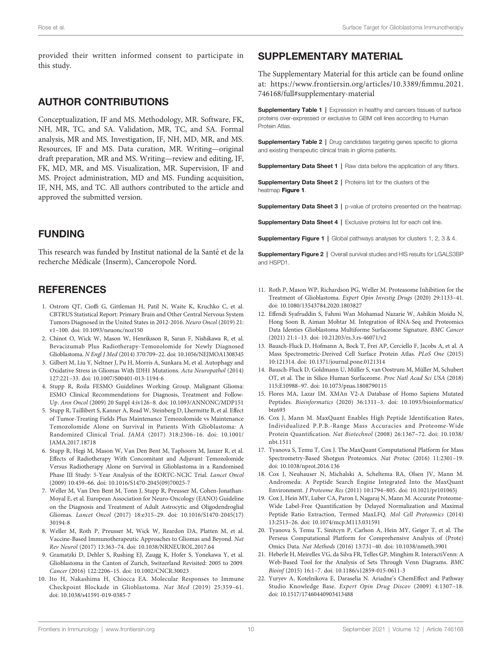<span id="page-9-0"></span>provided their written informed consent to participate in this study.

#### AUTHOR CONTRIBUTIONS

Conceptualization, IF and MS. Methodology, MR. Software, FK, NH, MR, TC, and SA. Validation, MR, TC, and SA. Formal analysis, MR and MS. Investigation, IF, NH, MD, MR, and MS. Resources, IF and MS. Data curation, MR. Writing—original draft preparation, MR and MS. Writing—review and editing, IF, FK, MD, MR, and MS. Visualization, MR. Supervision, IF and MS. Project administration, MD and MS. Funding acquisition, IF, NH, MS, and TC. All authors contributed to the article and approved the submitted version.

# FUNDING

This research was funded by Institut national de la Santé et de la recherche Médicale (Inserm), Canceropole Nord.

# **REFERENCES**

- 1. Ostrom QT, Cioffi G, Gittleman H, Patil N, Waite K, Kruchko C, et al. CBTRUS Statistical Report: Primary Brain and Other Central Nervous System Tumors Diagnosed in the United States in 2012-2016. Neuro Oncol (2019) 21: v1–100. doi: [10.1093/neuonc/noz150](https://doi.org/10.1093/neuonc/noz150)
- 2. Chinot O, Wick W, Mason W, Henriksson R, Saran F, Nishikawa R, et al. Bevacizumab Plus Radiotherapy-Temozolomide for Newly Diagnosed Glioblastoma. N Engl J Med (2014) 370:709–22. doi: [10.1056/NEJMOA1308345](https://doi.org/10.1056/NEJMOA1308345)
- 3. Gilbert M, Liu Y, Neltner J, Pu H, Morris A, Sunkara M, et al. Autophagy and Oxidative Stress in Gliomas With IDH1 Mutations. Acta Neuropathol (2014) 127:221–33. doi: [10.1007/S00401-013-1194-6](https://doi.org/10.1007/S00401-013-1194-6)
- 4. Stupp R, Roila FESMO Guidelines Working Group. Malignant Glioma: ESMO Clinical Recommendations for Diagnosis, Treatment and Follow-Up. Ann Oncol (2009) 20 Suppl 4:iv126–8. doi: [10.1093/ANNONC/MDP151](https://doi.org/10.1093/ANNONC/MDP151)
- 5. Stupp R, Taillibert S, Kanner A, Read W, Steinberg D, Lhermitte B, et al. Effect of Tumor-Treating Fields Plus Maintenance Temozolomide vs Maintenance Temozolomide Alone on Survival in Patients With Glioblastoma: A Randomized Clinical Trial. JAMA (2017) 318:2306–16. doi: [10.1001/](https://doi.org/10.1001/JAMA.2017.18718) [JAMA.2017.18718](https://doi.org/10.1001/JAMA.2017.18718)
- 6. Stupp R, Hegi M, Mason W, Van Den Bent M, Taphoorn M, Janzer R, et al. Effects of Radiotherapy With Concomitant and Adjuvant Temozolomide Versus Radiotherapy Alone on Survival in Glioblastoma in a Randomised Phase III Study: 5-Year Analysis of the EORTC-NCIC Trial. Lancet Oncol (2009) 10:459–66. doi: [10.1016/S1470-2045\(09\)70025-7](https://doi.org/10.1016/S1470-2045(09)70025-7)
- 7. Weller M, Van Den Bent M, Tonn J, Stupp R, Preusser M, Cohen-Jonathan-Moyal E, et al. European Association for Neuro-Oncology (EANO) Guideline on the Diagnosis and Treatment of Adult Astrocytic and Oligodendroglial Gliomas. Lancet Oncol (2017) 18:e315–29. doi: [10.1016/S1470-2045\(17\)](https://doi.org/10.1016/S1470-2045(17)30194-8) [30194-8](https://doi.org/10.1016/S1470-2045(17)30194-8)
- 8. Weller M, Roth P, Preusser M, Wick W, Reardon DA, Platten M, et al. Vaccine-Based Immunotherapeutic Approaches to Gliomas and Beyond. Nat Rev Neurol (2017) 13:363–74. doi: [10.1038/NRNEUROL.2017.64](https://doi.org/10.1038/NRNEUROL.2017.64)
- 9. Gramatzki D, Dehler S, Rushing EJ, Zaugg K, Hofer S, Yonekawa Y, et al. Glioblastoma in the Canton of Zurich, Switzerland Revisited: 2005 to 2009. Cancer (2016) 122:2206–15. doi: [10.1002/CNCR.30023](https://doi.org/10.1002/CNCR.30023)
- 10. Ito H, Nakashima H, Chiocca EA. Molecular Responses to Immune Checkpoint Blockade in Glioblastoma. Nat Med (2019) 25:359–61. doi: [10.1038/s41591-019-0385-7](https://doi.org/10.1038/s41591-019-0385-7)

# SUPPLEMENTARY MATERIAL

The Supplementary Material for this article can be found online at: [https://www.frontiersin.org/articles/10.3389/](https://www.frontiersin.org/articles/10.3389/fimmu.2021.746168/full#supplementary-material)fimmu.2021. [746168/full#supplementary-material](https://www.frontiersin.org/articles/10.3389/fimmu.2021.746168/full#supplementary-material)

**Supplementary Table 1 | Expression in healthy and cancers tissues of surface** proteins over-expressed or exclusive to GBM cell lines according to Human Protein Atlas.

Supplementary Table 2 | Drug candidates targeting genes specific to glioma and existing therapeutic clinical trials in glioma patients.

Supplementary Data Sheet 1 | Raw data before the application of any filters.

**Supplementary Data Sheet 2 | Proteins list for the clusters of the** heatmap [Figure 1](#page-4-0).

Supplementary Data Sheet 3 | p-value of proteins presented on the heatmap.

Supplementary Data Sheet 4 | Exclusive proteins list for each cell line.

Supplementary Figure 1 | Global pathways analyses for clusters 1, 2, 3 & 4.

Supplementary Figure 2 | Overall survival studies and HIS results for LGALS3BP and HSPD1.

- 11. Roth P, Mason WP, Richardson PG, Weller M. Proteasome Inhibition for the Treatment of Glioblastoma. Expert Opin Investig Drugs (2020) 29:1133–41. doi: [10.1080/13543784.2020.1803827](https://doi.org/10.1080/13543784.2020.1803827)
- 12. Effendi Syafruddin S, Fahmi Wan Mohamad Nazarie W, Ashikin Moidu N, Hong Soon B, Aiman Mohtar M. Integration of RNA-Seq and Proteomics Data Identies Glioblastoma Multiforme Surfaceome Signature. BMC Cancer (2021) 21:1–13. doi: [10.21203/rs.3.rs-46071/v2](https://doi.org/10.21203/rs.3.rs-46071/v2)
- 13. Bausch-Fluck D, Hofmann A, Bock T, Frei AP, Cerciello F, Jacobs A, et al. A Mass Spectrometric-Derived Cell Surface Protein Atlas. PLoS One (2015) 10:121314. doi: [10.1371/journal.pone.0121314](https://doi.org/10.1371/journal.pone.0121314)
- 14. Bausch-Fluck D, Goldmann U, Müller S, van Oostrum M, Müller M, Schubert OT, et al. The in Silico Human Surfaceome. Proc Natl Acad Sci USA (2018) 115:E10988–97. doi: [10.1073/pnas.1808790115](https://doi.org/10.1073/pnas.1808790115)
- 15. Flores MA, Lazar IM. XMAn V2-A Database of Homo Sapiens Mutated Peptides. Bioinformatics (2020) 36:1311–3. doi: [10.1093/bioinformatics/](https://doi.org/10.1093/bioinformatics/btz693) [btz693](https://doi.org/10.1093/bioinformatics/btz693)
- 16. Cox J, Mann M. MaxQuant Enables High Peptide Identification Rates, Individualized P.P.B.-Range Mass Accuracies and Proteome-Wide Protein Quantification. Nat Biotechnol (2008) 26:1367–72. doi: [10.1038/](https://doi.org/10.1038/nbt.1511) [nbt.1511](https://doi.org/10.1038/nbt.1511)
- 17. Tyanova S, Temu T, Cox J. The MaxQuant Computational Platform for Mass Spectrometry-Based Shotgun Proteomics. Nat Protoc (2016) 11:2301–19. doi: [10.1038/nprot.2016.136](https://doi.org/10.1038/nprot.2016.136)
- 18. Cox J, Neuhauser N, Michalski A, Scheltema RA, Olsen JV, Mann M. Andromeda: A Peptide Search Engine Integrated Into the MaxQuant Environment. J Proteome Res (2011) 10:1794–805. doi: [10.1021/pr101065j](https://doi.org/10.1021/pr101065j)
- 19. Cox J, Hein MY, Luber CA, Paron I, Nagaraj N, Mann M. Accurate Proteome-Wide Label-Free Quantification by Delayed Normalization and Maximal Peptide Ratio Extraction, Termed MaxLFQ. Mol Cell Proteomics (2014) 13:2513–26. doi: [10.1074/mcp.M113.031591](https://doi.org/10.1074/mcp.M113.031591)
- 20. Tyanova S, Temu T, Sinitcyn P, Carlson A, Hein MY, Geiger T, et al. The Perseus Computational Platform for Comprehensive Analysis of (Prote) Omics Data. Nat Methods (2016) 13:731–40. doi: [10.1038/nmeth.3901](https://doi.org/10.1038/nmeth.3901)
- 21. Heberle H, Meirelles VG, da Silva FR, Telles GP, Minghim R. InteractiVenn: A Web-Based Tool for the Analysis of Sets Through Venn Diagrams. BMC Bioinf (2015) 16:1–7. doi: [10.1186/s12859-015-0611-3](https://doi.org/10.1186/s12859-015-0611-3)
- 22. Yuryev A, Kotelnikova E, Daraselia N. Ariadne's ChemEffect and Pathway Studio Knowledge Base. Expert Opin Drug Discov (2009) 4:1307–18. doi: [10.1517/17460440903413488](https://doi.org/10.1517/17460440903413488)